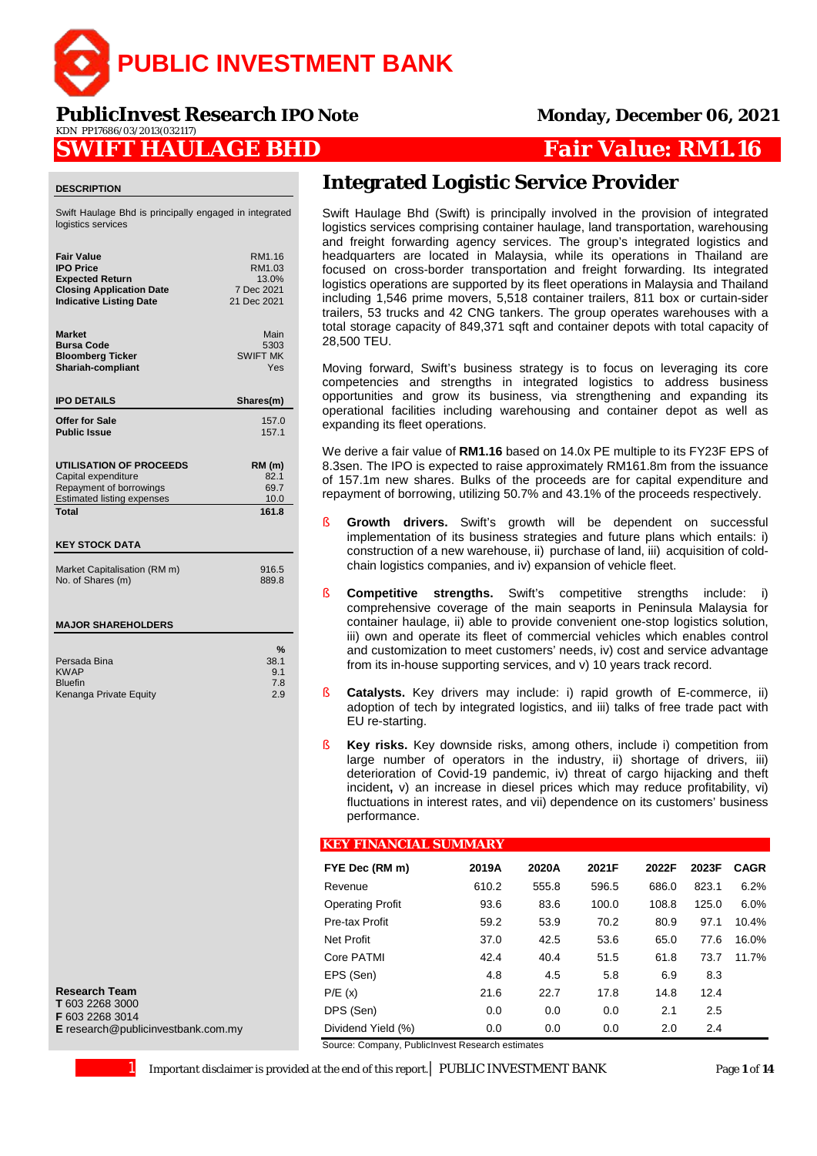

**PublicInvest Research** *IPO Note* **Monday, December 06, 2021** KDN PP17686/03/2013(032117)

### **SWIFT HAULAGE BHD** *Fair Value: RM1.16*

#### **DESCRIPTION**

Swift Haulage Bhd is principally engaged in integrated logistics services

| <b>Fair Value</b>                     | RM1.16          |
|---------------------------------------|-----------------|
| <b>IPO Price</b>                      | RM1.03          |
| <b>Expected Return</b>                | 13.0%           |
| <b>Closing Application Date</b>       | 7 Dec 2021      |
| <b>Indicative Listing Date</b>        | 21 Dec 2021     |
| <b>Market</b>                         | Main            |
| <b>Bursa Code</b>                     | 5303            |
| <b>Bloomberg Ticker</b>               | <b>SWIFT MK</b> |
| Shariah-compliant                     | Yes             |
| <b>IPO DETAILS</b>                    | Shares(m)       |
| Offer for Sale                        | 157.0           |
| <b>Public Issue</b>                   | 157.1           |
| <b>UTILISATION OF PROCEEDS</b>        | $RM$ (m)        |
| Capital expenditure                   | 82.1            |
| Repayment of borrowings               | 69.7            |
| <b>Estimated listing expenses</b>     | 10.0            |
| <b>Total</b><br><b>KEY STOCK DATA</b> | 161.8           |
| Market Capitalisation (RM m)          | 916.5           |
| No. of Shares (m)                     | 889.8           |
| <b>MAJOR SHAREHOLDERS</b>             |                 |

KWAP  $\sim$  9.1 Bluefin 7.8

Kenanga Private Equity

**Research Team T** 603 2268 3000 **F** 603 2268 3014 **E** research@publicinvestbank.com.my **Integrated Logistic Service Provider**

Swift Haulage Bhd (Swift) is principally involved in the provision of integrated logistics services comprising container haulage, land transportation, warehousing and freight forwarding agency services. The group's integrated logistics and headquarters are located in Malaysia, while its operations in Thailand are focused on cross-border transportation and freight forwarding. Its integrated logistics operations are supported by its fleet operations in Malaysia and Thailand including 1,546 prime movers, 5,518 container trailers, 811 box or curtain-sider trailers, 53 trucks and 42 CNG tankers. The group operates warehouses with a total storage capacity of 849,371 sqft and container depots with total capacity of 28,500 TEU.

Moving forward, Swift's business strategy is to focus on leveraging its core competencies and strengths in integrated logistics to address business opportunities and grow its business, via strengthening and expanding its operational facilities including warehousing and container depot as well as expanding its fleet operations.

We derive a fair value of **RM1.16** based on 14.0x PE multiple to its FY23F EPS of 8.3sen. The IPO is expected to raise approximately RM161.8m from the issuance of 157.1m new shares. Bulks of the proceeds are for capital expenditure and repayment of borrowing, utilizing 50.7% and 43.1% of the proceeds respectively.

- § **Growth drivers.** Swift's growth will be dependent on successful implementation of its business strategies and future plans which entails: i) construction of a new warehouse, ii) purchase of land, iii) acquisition of coldchain logistics companies, and iv) expansion of vehicle fleet.
- § **Competitive strengths.** Swift's competitive strengths include: i) comprehensive coverage of the main seaports in Peninsula Malaysia for container haulage, ii) able to provide convenient one-stop logistics solution, iii) own and operate its fleet of commercial vehicles which enables control and customization to meet customers' needs, iv) cost and service advantage from its in-house supporting services, and v) 10 years track record.
- **Catalysts.** Key drivers may include: i) rapid growth of E-commerce, ii) adoption of tech by integrated logistics, and iii) talks of free trade pact with EU re-starting.
- § **Key risks.** Key downside risks, among others, include i) competition from large number of operators in the industry, ii) shortage of drivers, iii) deterioration of Covid-19 pandemic, iv) threat of cargo hijacking and theft incident**,** v) an increase in diesel prices which may reduce profitability, vi) fluctuations in interest rates, and vii) dependence on its customers' business performance.

#### **KEY FINANCIAL SUMMARY**

| FYE Dec (RM m)          | 2019A | 2020A | 2021F | 2022F | 2023F | <b>CAGR</b> |
|-------------------------|-------|-------|-------|-------|-------|-------------|
| Revenue                 | 610.2 | 555.8 | 596.5 | 686.0 | 823.1 | 6.2%        |
| <b>Operating Profit</b> | 93.6  | 83.6  | 100.0 | 108.8 | 125.0 | 6.0%        |
| Pre-tax Profit          | 59.2  | 53.9  | 70.2  | 80.9  | 97.1  | 10.4%       |
| Net Profit              | 37.0  | 42.5  | 53.6  | 65.0  | 77.6  | 16.0%       |
| Core PATMI              | 42.4  | 40.4  | 51.5  | 61.8  | 73.7  | 11.7%       |
| EPS (Sen)               | 4.8   | 4.5   | 5.8   | 6.9   | 8.3   |             |
| P/E(x)                  | 21.6  | 22.7  | 17.8  | 14.8  | 12.4  |             |
| DPS (Sen)               | 0.0   | 0.0   | 0.0   | 2.1   | 2.5   |             |
| Dividend Yield (%)      | 0.0   | 0.0   | 0.0   | 2.0   | 2.4   |             |

Source: Company, PublicInvest Research estimates

1 Important disclaimer is provided at the end of this report.| PUBLIC INVESTMENT BANK Page **1** of **14**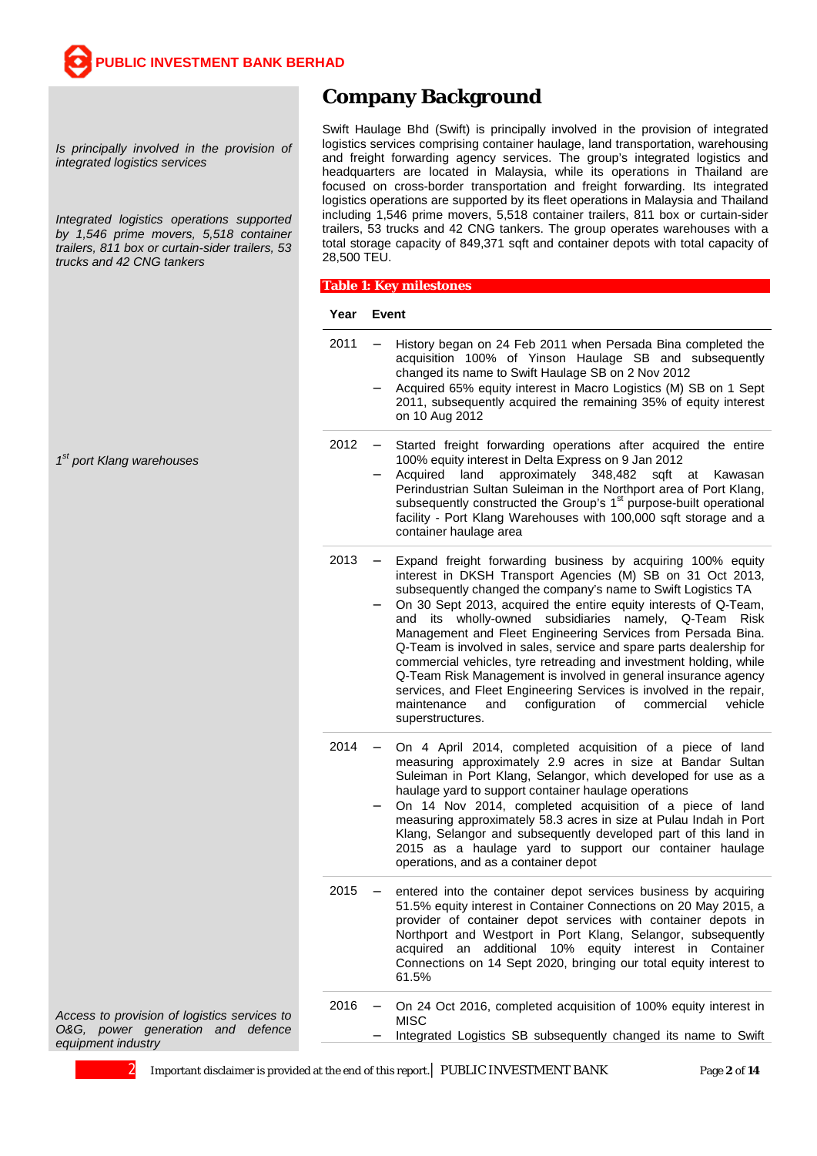*Is principally involved in the provision of integrated logistics services*

*Integrated logistics operations supported by 1,546 prime movers, 5,518 container trailers, 811 box or curtain-sider trailers, 53 trucks and 42 CNG tankers* 

*1st port Klang warehouses*

### **Company Background**

Swift Haulage Bhd (Swift) is principally involved in the provision of integrated logistics services comprising container haulage, land transportation, warehousing and freight forwarding agency services. The group's integrated logistics and headquarters are located in Malaysia, while its operations in Thailand are focused on cross-border transportation and freight forwarding. Its integrated logistics operations are supported by its fleet operations in Malaysia and Thailand including 1,546 prime movers, 5,518 container trailers, 811 box or curtain-sider trailers, 53 trucks and 42 CNG tankers. The group operates warehouses with a total storage capacity of 849,371 sqft and container depots with total capacity of 28,500 TEU.

#### $\overline{\phantom{a}}$ **Table 1: Key milestones**

#### **Year Event**

2011 - History began on 24 Feb 2011 when Persada Bina completed the acquisition 100% of Yinson Haulage SB and subsequently changed its name to Swift Haulage SB on 2 Nov 2012 Acquired 65% equity interest in Macro Logistics (M) SB on 1 Sept 2011, subsequently acquired the remaining 35% of equity interest on 10 Aug 2012 2012 - Started freight forwarding operations after acquired the entire 100% equity interest in Delta Express on 9 Jan 2012 Acquired land approximately 348,482 sqft at Kawasan Perindustrian Sultan Suleiman in the Northport area of Port Klang, subsequently constructed the Group's 1<sup>st</sup> purpose-built operational facility - Port Klang Warehouses with 100,000 sqft storage and a container haulage area 2013 Expand freight forwarding business by acquiring 100% equity interest in DKSH Transport Agencies (M) SB on 31 Oct 2013, subsequently changed the company's name to Swift Logistics TA On 30 Sept 2013, acquired the entire equity interests of Q-Team, and its wholly-owned subsidiaries namely, Q-Team Risk Management and Fleet Engineering Services from Persada Bina. Q-Team is involved in sales, service and spare parts dealership for commercial vehicles, tyre retreading and investment holding, while Q-Team Risk Management is involved in general insurance agency services, and Fleet Engineering Services is involved in the repair, maintenance and configuration of commercial vehicle superstructures. 2014 On 4 April 2014, completed acquisition of a piece of land measuring approximately 2.9 acres in size at Bandar Sultan Suleiman in Port Klang, Selangor, which developed for use as a haulage yard to support container haulage operations On 14 Nov 2014, completed acquisition of a piece of land measuring approximately 58.3 acres in size at Pulau Indah in Port Klang, Selangor and subsequently developed part of this land in 2015 as a haulage yard to support our container haulage operations, and as a container depot 2015 - entered into the container depot services business by acquiring 51.5% equity interest in Container Connections on 20 May 2015, a provider of container depot services with container depots in Northport and Westport in Port Klang, Selangor, subsequently acquired an additional 10% equity interest in Container Connections on 14 Sept 2020, bringing our total equity interest to 61.5% 2016 - On 24 Oct 2016, completed acquisition of 100% equity interest in MISC Integrated Logistics SB subsequently changed its name to Swift

*Access to provision of logistics services to O&G, power generation and defence equipment industry*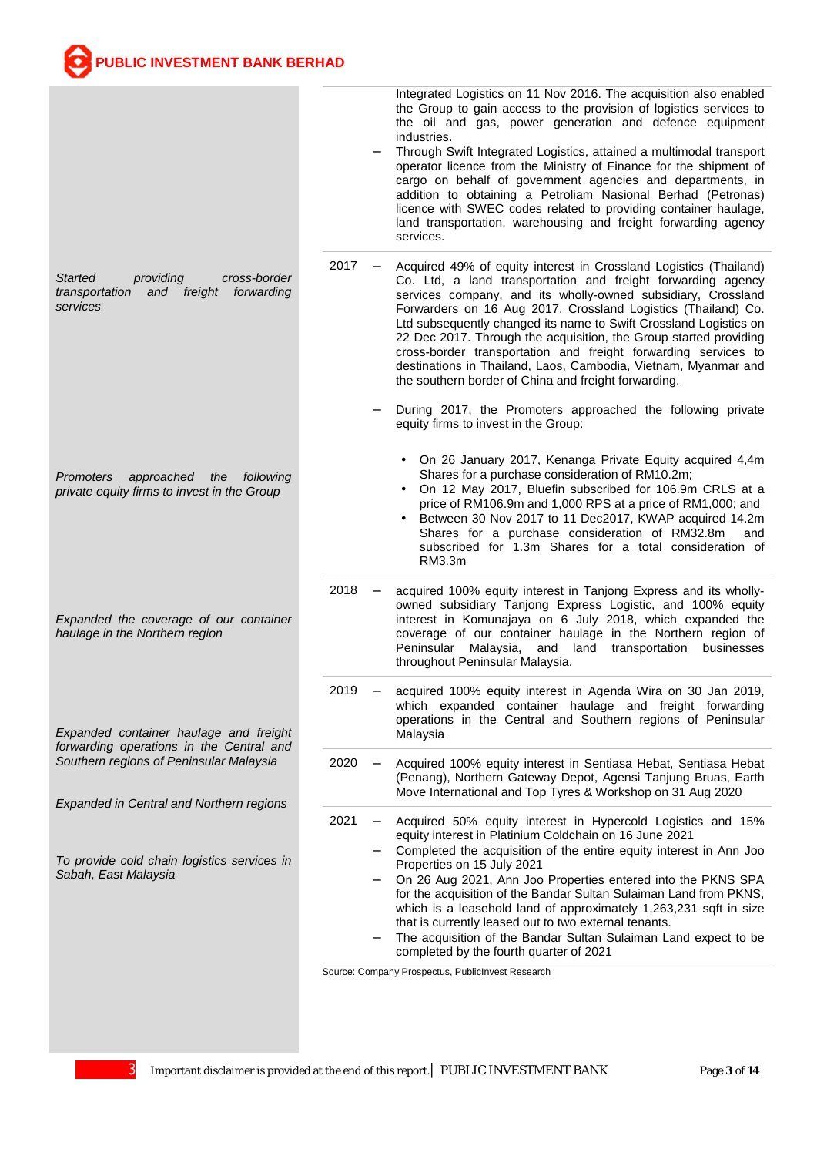**PUBLIC INVESTMENT BANK BERHAD** *Started providing cross-border*  and freight *services Promoters approached the following private equity firms to invest in the Group Expanded the coverage of our container haulage in the Northern region Expanded container haulage and freight forwarding operations in the Central and Southern regions of Peninsular Malaysia Expanded in Central and Northern regions To provide cold chain logistics services in Sabah, East Malaysia* Integrated Logistics on 11 Nov 2016. The acquisition also enabled the Group to gain access to the provision of logistics services to the oil and gas, power generation and defence equipment industries. Through Swift Integrated Logistics, attained a multimodal transport operator licence from the Ministry of Finance for the shipment of cargo on behalf of government agencies and departments, in addition to obtaining a Petroliam Nasional Berhad (Petronas) licence with SWEC codes related to providing container haulage, land transportation, warehousing and freight forwarding agency services. 2017 - Acquired 49% of equity interest in Crossland Logistics (Thailand) Co. Ltd, a land transportation and freight forwarding agency services company, and its wholly-owned subsidiary, Crossland Forwarders on 16 Aug 2017. Crossland Logistics (Thailand) Co. Ltd subsequently changed its name to Swift Crossland Logistics on 22 Dec 2017. Through the acquisition, the Group started providing cross-border transportation and freight forwarding services to destinations in Thailand, Laos, Cambodia, Vietnam, Myanmar and the southern border of China and freight forwarding. During 2017, the Promoters approached the following private equity firms to invest in the Group: On 26 January 2017, Kenanga Private Equity acquired 4,4m Shares for a purchase consideration of RM10.2m; On 12 May 2017, Bluefin subscribed for 106.9m CRLS at a price of RM106.9m and 1,000 RPS at a price of RM1,000; and Between 30 Nov 2017 to 11 Dec2017, KWAP acquired 14.2m Shares for a purchase consideration of RM32.8m and subscribed for 1.3m Shares for a total consideration of RM3.3m 2018 - acquired 100% equity interest in Tanjong Express and its whollyowned subsidiary Tanjong Express Logistic, and 100% equity interest in Komunajaya on 6 July 2018, which expanded the coverage of our container haulage in the Northern region of Peninsular Malaysia, and land transportation businesses throughout Peninsular Malaysia. 2019 acquired 100% equity interest in Agenda Wira on 30 Jan 2019, which expanded container haulage and freight forwarding operations in the Central and Southern regions of Peninsular Malaysia 2020 Acquired 100% equity interest in Sentiasa Hebat, Sentiasa Hebat (Penang), Northern Gateway Depot, Agensi Tanjung Bruas, Earth Move International and Top Tyres & Workshop on 31 Aug 2020 2021 - Acquired 50% equity interest in Hypercold Logistics and 15% equity interest in Platinium Coldchain on 16 June 2021 Completed the acquisition of the entire equity interest in Ann Joo Properties on 15 July 2021 On 26 Aug 2021, Ann Joo Properties entered into the PKNS SPA for the acquisition of the Bandar Sultan Sulaiman Land from PKNS, which is a leasehold land of approximately 1,263,231 sqft in size that is currently leased out to two external tenants. The acquisition of the Bandar Sultan Sulaiman Land expect to be completed by the fourth quarter of 2021 Source: Company Prospectus, PublicInvest Research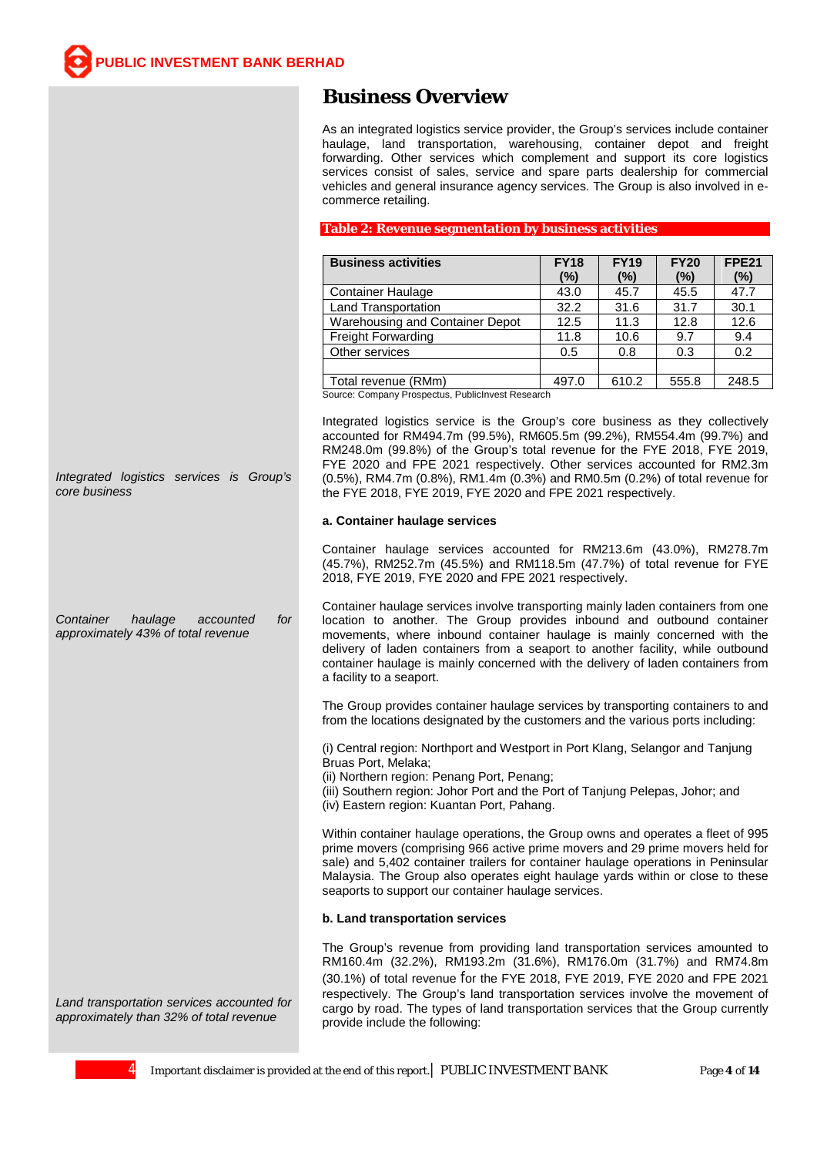### **Business Overview**

As an integrated logistics service provider, the Group's services include container haulage, land transportation, warehousing, container depot and freight forwarding. Other services which complement and support its core logistics services consist of sales, service and spare parts dealership for commercial vehicles and general insurance agency services. The Group is also involved in ecommerce retailing.

### **Table 2: Revenue segmentation by business activities**

| <b>Business activities</b>      | <b>FY18</b><br>(%) | <b>FY19</b><br>(%) | <b>FY20</b><br>(%) | <b>FPE21</b><br>(%) |
|---------------------------------|--------------------|--------------------|--------------------|---------------------|
| <b>Container Haulage</b>        | 43.0               | 45.7               | 45.5               | 47.7                |
| Land Transportation             | 32.2               | 31.6               | 31.7               | 30.1                |
| Warehousing and Container Depot | 12.5               | 11.3               | 12.8               | 12.6                |
| Freight Forwarding              | 11.8               | 10.6               | 9.7                | 9.4                 |
| Other services                  | 0.5                | 0.8                | 0.3                | 0.2                 |
|                                 |                    |                    |                    |                     |
| Total revenue (RMm)<br>_        | 497.0              | 610.2              | 555.8              | 248.5               |

Source: Company Prospectus, PublicInvest Research

Integrated logistics service is the Group's core business as they collectively accounted for RM494.7m (99.5%), RM605.5m (99.2%), RM554.4m (99.7%) and RM248.0m (99.8%) of the Group's total revenue for the FYE 2018, FYE 2019, FYE 2020 and FPE 2021 respectively. Other services accounted for RM2.3m (0.5%), RM4.7m (0.8%), RM1.4m (0.3%) and RM0.5m (0.2%) of total revenue for the FYE 2018, FYE 2019, FYE 2020 and FPE 2021 respectively.

#### **a. Container haulage services**

Container haulage services accounted for RM213.6m (43.0%), RM278.7m (45.7%), RM252.7m (45.5%) and RM118.5m (47.7%) of total revenue for FYE 2018, FYE 2019, FYE 2020 and FPE 2021 respectively.

*Container haulage accounted for approximately 43% of total revenue* Container haulage services involve transporting mainly laden containers from one location to another. The Group provides inbound and outbound container movements, where inbound container haulage is mainly concerned with the delivery of laden containers from a seaport to another facility, while outbound container haulage is mainly concerned with the delivery of laden containers from a facility to a seaport.

> The Group provides container haulage services by transporting containers to and from the locations designated by the customers and the various ports including:

(i) Central region: Northport and Westport in Port Klang, Selangor and Tanjung Bruas Port, Melaka;

(ii) Northern region: Penang Port, Penang;

(iii) Southern region: Johor Port and the Port of Tanjung Pelepas, Johor; and

(iv) Eastern region: Kuantan Port, Pahang.

Within container haulage operations, the Group owns and operates a fleet of 995 prime movers (comprising 966 active prime movers and 29 prime movers held for sale) and 5,402 container trailers for container haulage operations in Peninsular Malaysia. The Group also operates eight haulage yards within or close to these seaports to support our container haulage services.

#### **b. Land transportation services**

The Group's revenue from providing land transportation services amounted to RM160.4m (32.2%), RM193.2m (31.6%), RM176.0m (31.7%) and RM74.8m (30.1%) of total revenue for the FYE 2018, FYE 2019, FYE 2020 and FPE 2021 respectively. The Group's land transportation services involve the movement of cargo by road. The types of land transportation services that the Group currently provide include the following:

*Land transportation services accounted for approximately than 32% of total revenue*

*Integrated logistics services is Group's* 

*core business*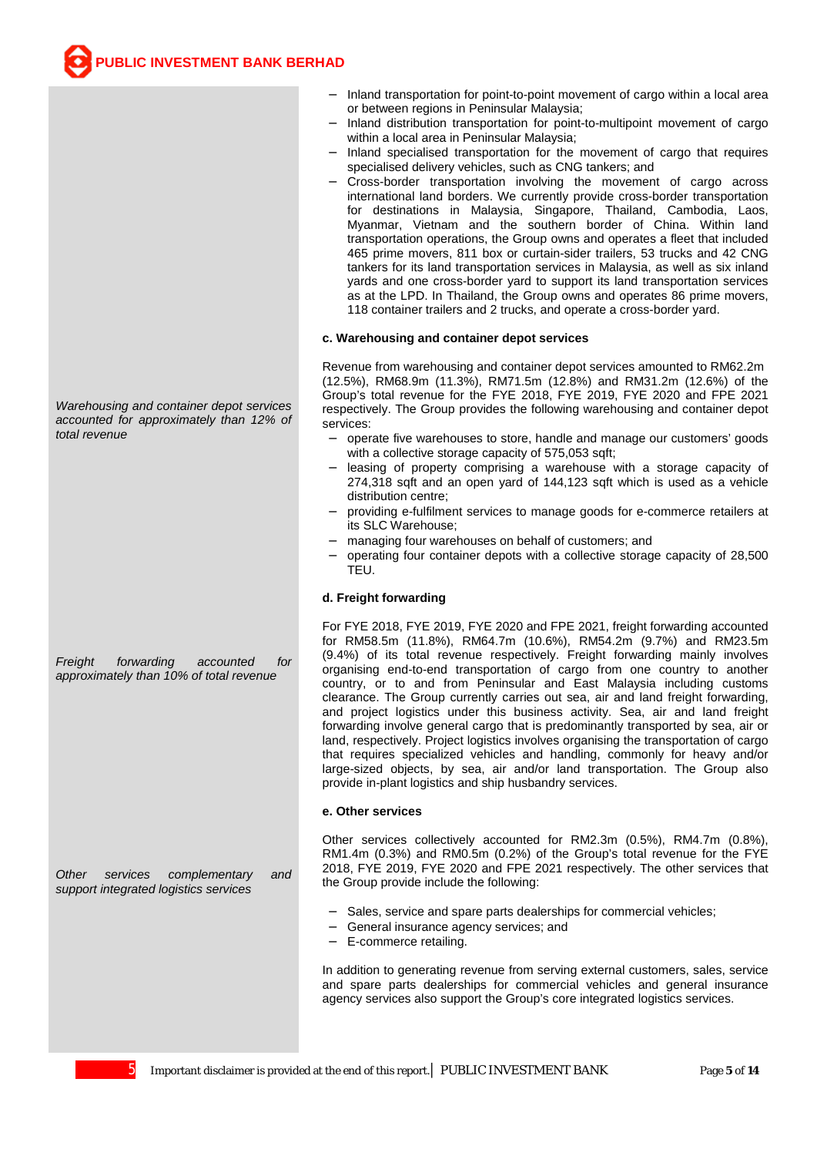- Inland transportation for point-to-point movement of cargo within a local area or between regions in Peninsular Malaysia;
- Inland distribution transportation for point-to-multipoint movement of cargo within a local area in Peninsular Malaysia;
- Inland specialised transportation for the movement of cargo that requires specialised delivery vehicles, such as CNG tankers; and
- Cross-border transportation involving the movement of cargo across international land borders. We currently provide cross-border transportation for destinations in Malaysia, Singapore, Thailand, Cambodia, Laos, Myanmar, Vietnam and the southern border of China. Within land transportation operations, the Group owns and operates a fleet that included 465 prime movers, 811 box or curtain-sider trailers, 53 trucks and 42 CNG tankers for its land transportation services in Malaysia, as well as six inland yards and one cross-border yard to support its land transportation services as at the LPD. In Thailand, the Group owns and operates 86 prime movers, 118 container trailers and 2 trucks, and operate a cross-border yard.

#### **c. Warehousing and container depot services**

Revenue from warehousing and container depot services amounted to RM62.2m (12.5%), RM68.9m (11.3%), RM71.5m (12.8%) and RM31.2m (12.6%) of the Group's total revenue for the FYE 2018, FYE 2019, FYE 2020 and FPE 2021 respectively. The Group provides the following warehousing and container depot services:

- operate five warehouses to store, handle and manage our customers' goods with a collective storage capacity of 575,053 sqft;
- leasing of property comprising a warehouse with a storage capacity of 274,318 sqft and an open yard of 144,123 sqft which is used as a vehicle distribution centre;
- providing e-fulfilment services to manage goods for e-commerce retailers at its SLC Warehouse;
- managing four warehouses on behalf of customers; and
- operating four container depots with a collective storage capacity of 28,500 TEU.

#### **d. Freight forwarding**

For FYE 2018, FYE 2019, FYE 2020 and FPE 2021, freight forwarding accounted for RM58.5m (11.8%), RM64.7m (10.6%), RM54.2m (9.7%) and RM23.5m (9.4%) of its total revenue respectively. Freight forwarding mainly involves organising end-to-end transportation of cargo from one country to another country, or to and from Peninsular and East Malaysia including customs clearance. The Group currently carries out sea, air and land freight forwarding, and project logistics under this business activity. Sea, air and land freight forwarding involve general cargo that is predominantly transported by sea, air or land, respectively. Project logistics involves organising the transportation of cargo that requires specialized vehicles and handling, commonly for heavy and/or large-sized objects, by sea, air and/or land transportation. The Group also provide in-plant logistics and ship husbandry services.

#### **e. Other services**

Other services collectively accounted for RM2.3m (0.5%), RM4.7m (0.8%), RM1.4m (0.3%) and RM0.5m (0.2%) of the Group's total revenue for the FYE 2018, FYE 2019, FYE 2020 and FPE 2021 respectively. The other services that the Group provide include the following:

- Sales, service and spare parts dealerships for commercial vehicles;
- General insurance agency services; and
- E-commerce retailing.

In addition to generating revenue from serving external customers, sales, service and spare parts dealerships for commercial vehicles and general insurance agency services also support the Group's core integrated logistics services.

*Warehousing and container depot services accounted for approximately than 12% of total revenue*

*Freight forwarding accounted for approximately than 10% of total revenue*

*Other services complementary and support integrated logistics services*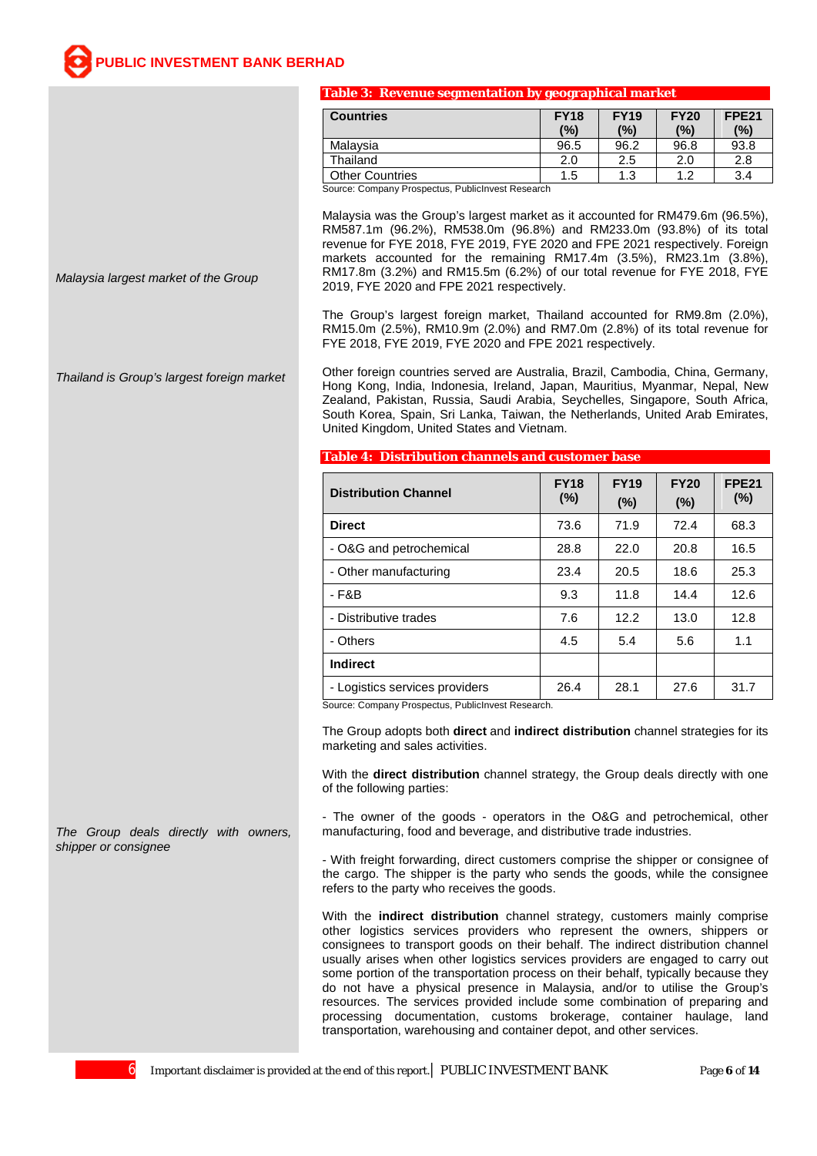#### **Table 3: Revenue segmentation by geographical market**

| <b>Countries</b>                                   | <b>FY18</b><br>(%) | <b>FY19</b><br>(%) | <b>FY20</b><br>(%) | <b>FPE21</b><br>(%) |
|----------------------------------------------------|--------------------|--------------------|--------------------|---------------------|
| Malavsia                                           | 96.5               | 96.2               | 96.8               | 93.8                |
| Thailand                                           | 2.0                | 2.5                | 2.0                | 2.8                 |
| <b>Other Countries</b>                             | 1.5                | 1.3                | 1 つ                | 3.4                 |
| Course: Company Prognagtua, Bublislavest Pessagrab |                    |                    |                    |                     |

Source: Company Prospectus, PublicInvest Research

Malaysia was the Group's largest market as it accounted for RM479.6m (96.5%), RM587.1m (96.2%), RM538.0m (96.8%) and RM233.0m (93.8%) of its total revenue for FYE 2018, FYE 2019, FYE 2020 and FPE 2021 respectively. Foreign markets accounted for the remaining RM17.4m (3.5%), RM23.1m (3.8%), RM17.8m (3.2%) and RM15.5m (6.2%) of our total revenue for FYE 2018, FYE 2019, FYE 2020 and FPE 2021 respectively.

The Group's largest foreign market, Thailand accounted for RM9.8m (2.0%), RM15.0m (2.5%), RM10.9m (2.0%) and RM7.0m (2.8%) of its total revenue for FYE 2018, FYE 2019, FYE 2020 and FPE 2021 respectively.

Other foreign countries served are Australia, Brazil, Cambodia, China, Germany, Hong Kong, India, Indonesia, Ireland, Japan, Mauritius, Myanmar, Nepal, New Zealand, Pakistan, Russia, Saudi Arabia, Seychelles, Singapore, South Africa, South Korea, Spain, Sri Lanka, Taiwan, the Netherlands, United Arab Emirates, United Kingdom, United States and Vietnam.

**Table 4: Distribution channels and customer base**

| <b>Distribution Channel</b>    | <b>FY18</b><br>(%) | <b>FY19</b><br>$(\%)$ | <b>FY20</b><br>$(\%)$ | <b>FPE21</b><br>$(\%)$ |
|--------------------------------|--------------------|-----------------------|-----------------------|------------------------|
| <b>Direct</b>                  | 73.6               | 71.9                  | 72.4                  | 68.3                   |
| - O&G and petrochemical        | 28.8               | 22.0                  | 20.8                  | 16.5                   |
| - Other manufacturing          | 23.4               | 20.5                  | 18.6                  | 25.3                   |
| - F&B                          | 9.3                | 11.8                  | 14.4                  | 12.6                   |
| - Distributive trades          | 7.6                | 12.2                  | 13.0                  | 12.8                   |
| - Others                       | 4.5                | 5.4                   | 5.6                   | 1.1                    |
| <b>Indirect</b>                |                    |                       |                       |                        |
| - Logistics services providers | 26.4               | 28.1                  | 27.6                  | 31.7                   |

Source: Company Prospectus, PublicInvest Research.

The Group adopts both **direct** and **indirect distribution** channel strategies for its marketing and sales activities.

With the **direct distribution** channel strategy, the Group deals directly with one of the following parties:

- The owner of the goods - operators in the O&G and petrochemical, other manufacturing, food and beverage, and distributive trade industries.

- With freight forwarding, direct customers comprise the shipper or consignee of the cargo. The shipper is the party who sends the goods, while the consignee refers to the party who receives the goods.

With the **indirect distribution** channel strategy, customers mainly comprise other logistics services providers who represent the owners, shippers or consignees to transport goods on their behalf. The indirect distribution channel usually arises when other logistics services providers are engaged to carry out some portion of the transportation process on their behalf, typically because they do not have a physical presence in Malaysia, and/or to utilise the Group's resources. The services provided include some combination of preparing and processing documentation, customs brokerage, container haulage, land transportation, warehousing and container depot, and other services.

*Malaysia largest market of the Group*

*Thailand is Group's largest foreign market*

*The Group deals directly with owners, shipper or consignee*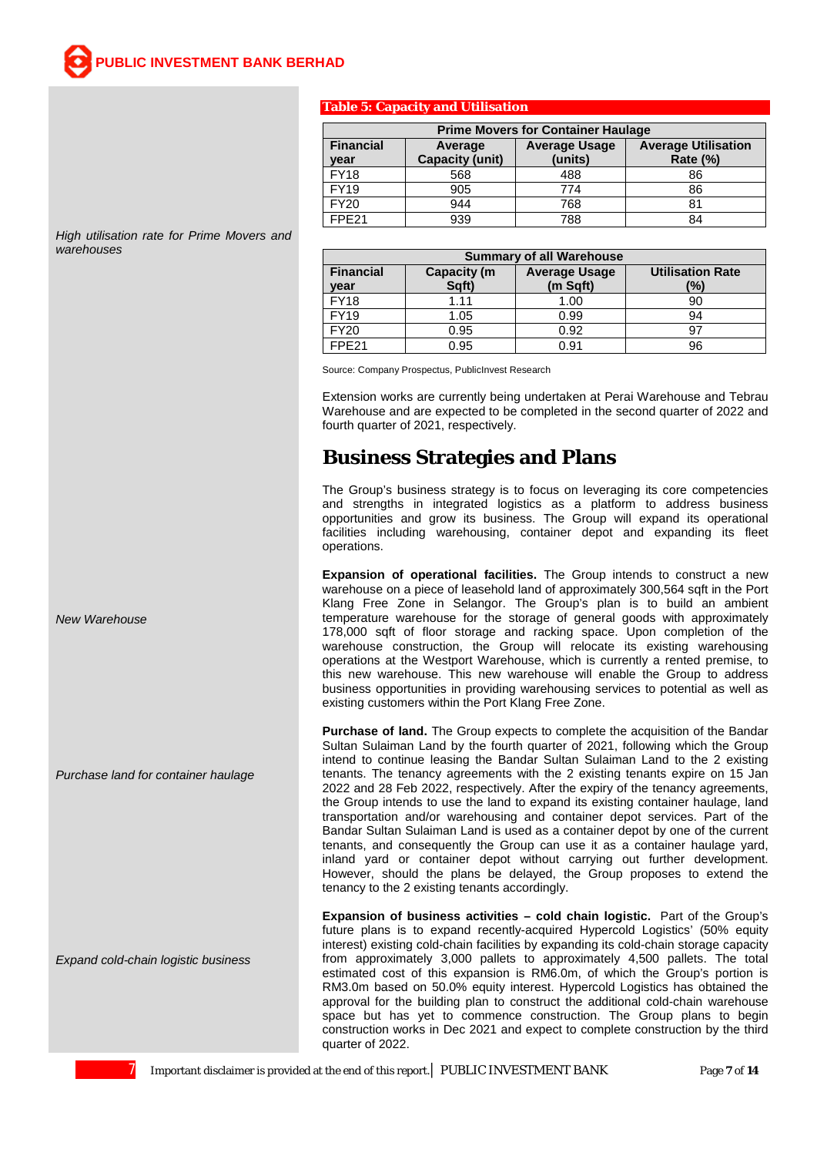#### **Table 5: Capacity and Utilisation**

| <b>Prime Movers for Container Haulage</b> |                                               |                |    |  |  |  |
|-------------------------------------------|-----------------------------------------------|----------------|----|--|--|--|
| <b>Financial</b><br>year                  | <b>Average Utilisation</b><br><b>Rate (%)</b> |                |    |  |  |  |
| <b>FY18</b>                               | <b>Capacity (unit)</b><br>568                 | (units)<br>488 | 86 |  |  |  |
| <b>FY19</b>                               | 905                                           | 774            | 86 |  |  |  |
| <b>FY20</b>                               | 944                                           | 768            | 81 |  |  |  |
| FPF <sub>21</sub>                         | 939                                           | 788            | 84 |  |  |  |

**Summary of all Warehouse**

FY18 | 1.11 | 1.00 | 90 FY19 1.05 0.99 94 FY20 0.95 0.92 97 FPE21 0.95 0.91 96

**Average Usage (m Sqft)**

**Utilisation Rate (%)**

*High utilisation rate for Prime Movers and warehouses*

Source: Company Prospectus, PublicInvest Research

**Capacity (m Sqft)**

**Financial year**

Extension works are currently being undertaken at Perai Warehouse and Tebrau Warehouse and are expected to be completed in the second quarter of 2022 and fourth quarter of 2021, respectively.

### **Business Strategies and Plans**

The Group's business strategy is to focus on leveraging its core competencies and strengths in integrated logistics as a platform to address business opportunities and grow its business. The Group will expand its operational facilities including warehousing, container depot and expanding its fleet operations.

**Expansion of operational facilities.** The Group intends to construct a new warehouse on a piece of leasehold land of approximately 300,564 sqft in the Port Klang Free Zone in Selangor. The Group's plan is to build an ambient temperature warehouse for the storage of general goods with approximately 178,000 sqft of floor storage and racking space. Upon completion of the warehouse construction, the Group will relocate its existing warehousing operations at the Westport Warehouse, which is currently a rented premise, to this new warehouse. This new warehouse will enable the Group to address business opportunities in providing warehousing services to potential as well as existing customers within the Port Klang Free Zone.

**Purchase of land.** The Group expects to complete the acquisition of the Bandar Sultan Sulaiman Land by the fourth quarter of 2021, following which the Group intend to continue leasing the Bandar Sultan Sulaiman Land to the 2 existing tenants. The tenancy agreements with the 2 existing tenants expire on 15 Jan 2022 and 28 Feb 2022, respectively. After the expiry of the tenancy agreements, the Group intends to use the land to expand its existing container haulage, land transportation and/or warehousing and container depot services. Part of the Bandar Sultan Sulaiman Land is used as a container depot by one of the current tenants, and consequently the Group can use it as a container haulage yard, inland yard or container depot without carrying out further development. However, should the plans be delayed, the Group proposes to extend the tenancy to the 2 existing tenants accordingly.

**Expansion of business activities – cold chain logistic.** Part of the Group's future plans is to expand recently-acquired Hypercold Logistics' (50% equity interest) existing cold-chain facilities by expanding its cold-chain storage capacity from approximately 3,000 pallets to approximately 4,500 pallets. The total estimated cost of this expansion is RM6.0m, of which the Group's portion is RM3.0m based on 50.0% equity interest. Hypercold Logistics has obtained the approval for the building plan to construct the additional cold-chain warehouse space but has yet to commence construction. The Group plans to begin construction works in Dec 2021 and expect to complete construction by the third quarter of 2022.

*New Warehouse*

*Purchase land for container haulage*

*Expand cold-chain logistic business*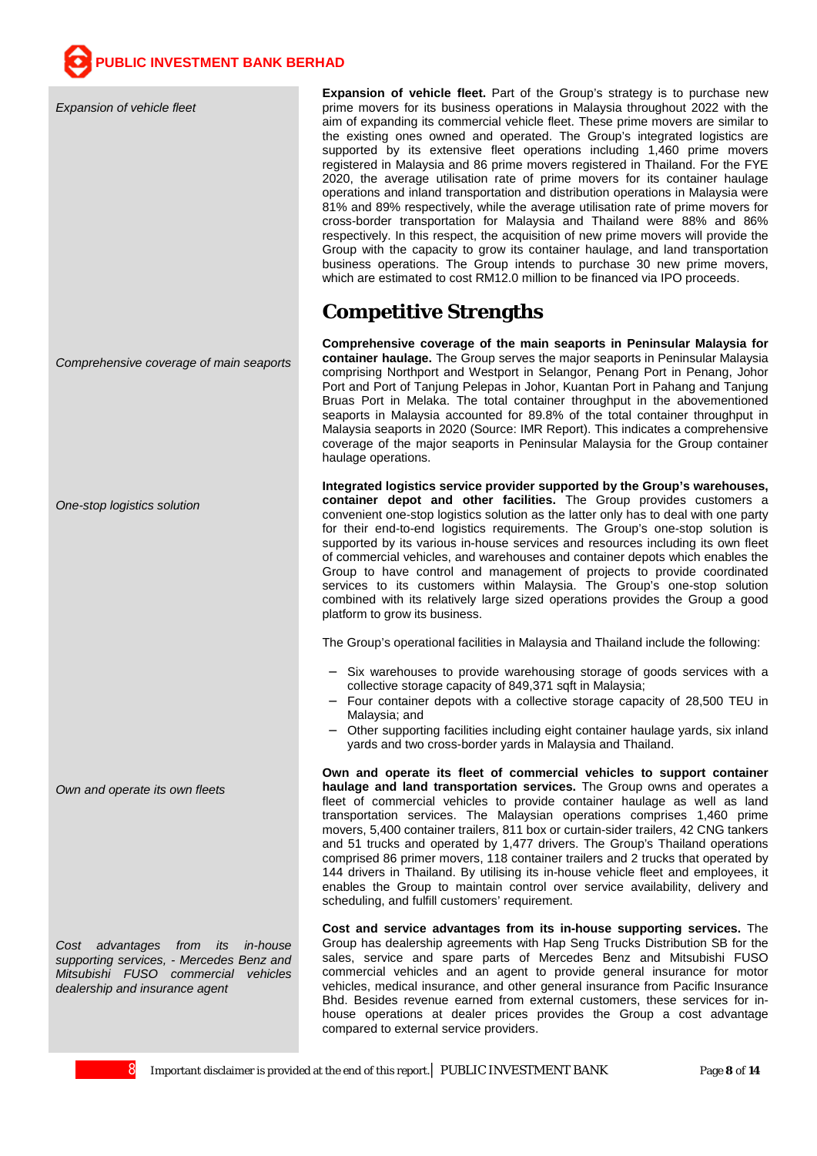*Expansion of vehicle fleet*

*Comprehensive coverage of main seaports*

*One-stop logistics solution*

*Own and operate its own fleets*

*Cost advantages from its in-house supporting services, - Mercedes Benz and Mitsubishi FUSO commercial vehicles dealership and insurance agent*

**Expansion of vehicle fleet.** Part of the Group's strategy is to purchase new prime movers for its business operations in Malaysia throughout 2022 with the aim of expanding its commercial vehicle fleet. These prime movers are similar to the existing ones owned and operated. The Group's integrated logistics are supported by its extensive fleet operations including 1,460 prime movers registered in Malaysia and 86 prime movers registered in Thailand. For the FYE 2020, the average utilisation rate of prime movers for its container haulage operations and inland transportation and distribution operations in Malaysia were 81% and 89% respectively, while the average utilisation rate of prime movers for cross-border transportation for Malaysia and Thailand were 88% and 86% respectively. In this respect, the acquisition of new prime movers will provide the Group with the capacity to grow its container haulage, and land transportation business operations. The Group intends to purchase 30 new prime movers, which are estimated to cost RM12.0 million to be financed via IPO proceeds.

### **Competitive Strengths**

**Comprehensive coverage of the main seaports in Peninsular Malaysia for container haulage.** The Group serves the major seaports in Peninsular Malaysia comprising Northport and Westport in Selangor, Penang Port in Penang, Johor Port and Port of Tanjung Pelepas in Johor, Kuantan Port in Pahang and Tanjung Bruas Port in Melaka. The total container throughput in the abovementioned seaports in Malaysia accounted for 89.8% of the total container throughput in Malaysia seaports in 2020 (Source: IMR Report). This indicates a comprehensive coverage of the major seaports in Peninsular Malaysia for the Group container haulage operations.

**Integrated logistics service provider supported by the Group's warehouses, container depot and other facilities.** The Group provides customers a convenient one-stop logistics solution as the latter only has to deal with one party for their end-to-end logistics requirements. The Group's one-stop solution is supported by its various in-house services and resources including its own fleet of commercial vehicles, and warehouses and container depots which enables the Group to have control and management of projects to provide coordinated services to its customers within Malaysia. The Group's one-stop solution combined with its relatively large sized operations provides the Group a good platform to grow its business.

The Group's operational facilities in Malaysia and Thailand include the following:

- Six warehouses to provide warehousing storage of goods services with a collective storage capacity of 849,371 sqft in Malaysia;
- Four container depots with a collective storage capacity of 28,500 TEU in Malaysia; and
- Other supporting facilities including eight container haulage yards, six inland yards and two cross-border yards in Malaysia and Thailand.

**Own and operate its fleet of commercial vehicles to support container haulage and land transportation services.** The Group owns and operates a fleet of commercial vehicles to provide container haulage as well as land transportation services. The Malaysian operations comprises 1,460 prime movers, 5,400 container trailers, 811 box or curtain-sider trailers, 42 CNG tankers and 51 trucks and operated by 1,477 drivers. The Group's Thailand operations comprised 86 primer movers, 118 container trailers and 2 trucks that operated by 144 drivers in Thailand. By utilising its in-house vehicle fleet and employees, it enables the Group to maintain control over service availability, delivery and scheduling, and fulfill customers' requirement.

**Cost and service advantages from its in-house supporting services.** The Group has dealership agreements with Hap Seng Trucks Distribution SB for the sales, service and spare parts of Mercedes Benz and Mitsubishi FUSO commercial vehicles and an agent to provide general insurance for motor vehicles, medical insurance, and other general insurance from Pacific Insurance Bhd. Besides revenue earned from external customers, these services for inhouse operations at dealer prices provides the Group a cost advantage compared to external service providers.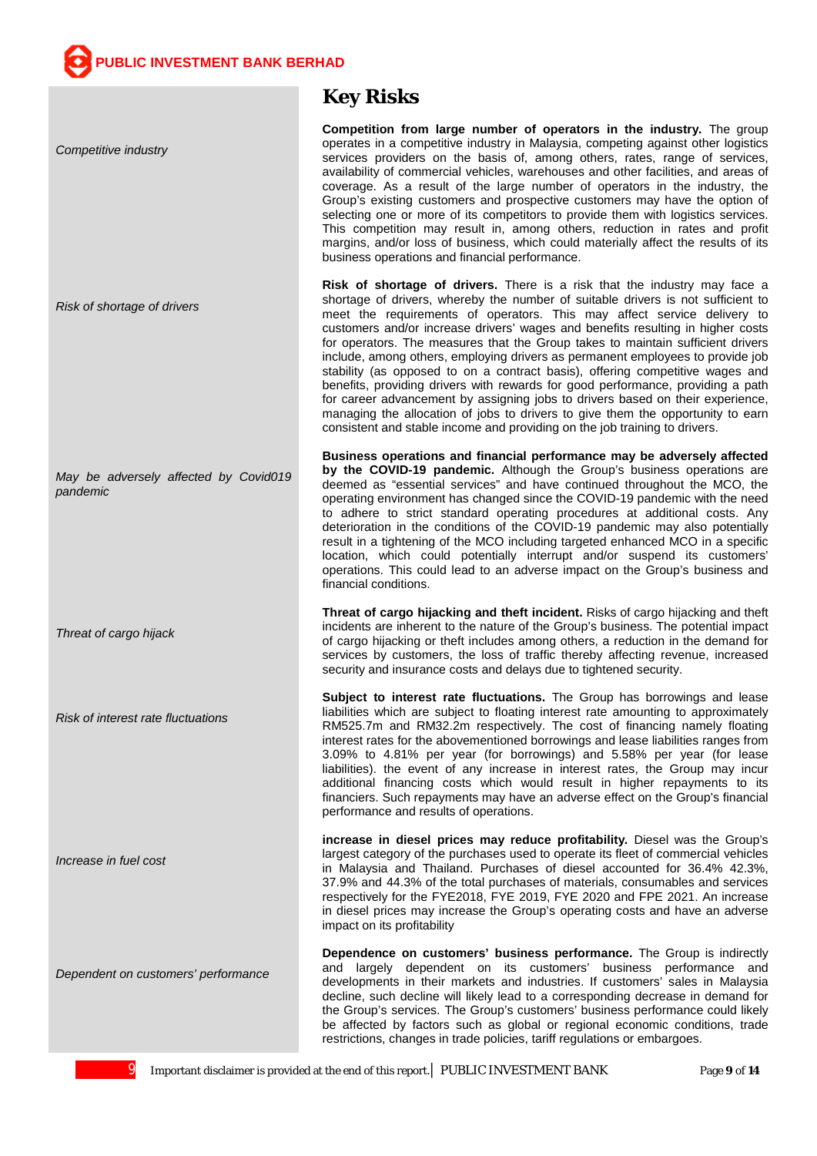*Competitive industry*

*Risk of shortage of drivers*

*May be adversely affected by Covid019 pandemic*

*Threat of cargo hijack*

*Risk of interest rate fluctuations*

*Increase in fuel cost*

*Dependent on customers' performance*

### **Key Risks**

**Competition from large number of operators in the industry.** The group operates in a competitive industry in Malaysia, competing against other logistics services providers on the basis of, among others, rates, range of services, availability of commercial vehicles, warehouses and other facilities, and areas of coverage. As a result of the large number of operators in the industry, the Group's existing customers and prospective customers may have the option of selecting one or more of its competitors to provide them with logistics services. This competition may result in, among others, reduction in rates and profit margins, and/or loss of business, which could materially affect the results of its business operations and financial performance.

**Risk of shortage of drivers.** There is a risk that the industry may face a shortage of drivers, whereby the number of suitable drivers is not sufficient to meet the requirements of operators. This may affect service delivery to customers and/or increase drivers' wages and benefits resulting in higher costs for operators. The measures that the Group takes to maintain sufficient drivers include, among others, employing drivers as permanent employees to provide job stability (as opposed to on a contract basis), offering competitive wages and benefits, providing drivers with rewards for good performance, providing a path for career advancement by assigning jobs to drivers based on their experience, managing the allocation of jobs to drivers to give them the opportunity to earn consistent and stable income and providing on the job training to drivers.

**Business operations and financial performance may be adversely affected by the COVID-19 pandemic.** Although the Group's business operations are deemed as "essential services" and have continued throughout the MCO, the operating environment has changed since the COVID-19 pandemic with the need to adhere to strict standard operating procedures at additional costs. Any deterioration in the conditions of the COVID-19 pandemic may also potentially result in a tightening of the MCO including targeted enhanced MCO in a specific location, which could potentially interrupt and/or suspend its customers' operations. This could lead to an adverse impact on the Group's business and financial conditions.

**Threat of cargo hijacking and theft incident.** Risks of cargo hijacking and theft incidents are inherent to the nature of the Group's business. The potential impact of cargo hijacking or theft includes among others, a reduction in the demand for services by customers, the loss of traffic thereby affecting revenue, increased security and insurance costs and delays due to tightened security.

**Subject to interest rate fluctuations.** The Group has borrowings and lease liabilities which are subject to floating interest rate amounting to approximately RM525.7m and RM32.2m respectively. The cost of financing namely floating interest rates for the abovementioned borrowings and lease liabilities ranges from 3.09% to 4.81% per year (for borrowings) and 5.58% per year (for lease liabilities). the event of any increase in interest rates, the Group may incur additional financing costs which would result in higher repayments to its financiers. Such repayments may have an adverse effect on the Group's financial performance and results of operations.

**increase in diesel prices may reduce profitability.** Diesel was the Group's largest category of the purchases used to operate its fleet of commercial vehicles in Malaysia and Thailand. Purchases of diesel accounted for 36.4% 42.3%, 37.9% and 44.3% of the total purchases of materials, consumables and services respectively for the FYE2018, FYE 2019, FYE 2020 and FPE 2021. An increase in diesel prices may increase the Group's operating costs and have an adverse impact on its profitability

**Dependence on customers' business performance.** The Group is indirectly and largely dependent on its customers' business performance and developments in their markets and industries. If customers' sales in Malaysia decline, such decline will likely lead to a corresponding decrease in demand for the Group's services. The Group's customers' business performance could likely be affected by factors such as global or regional economic conditions, trade restrictions, changes in trade policies, tariff regulations or embargoes.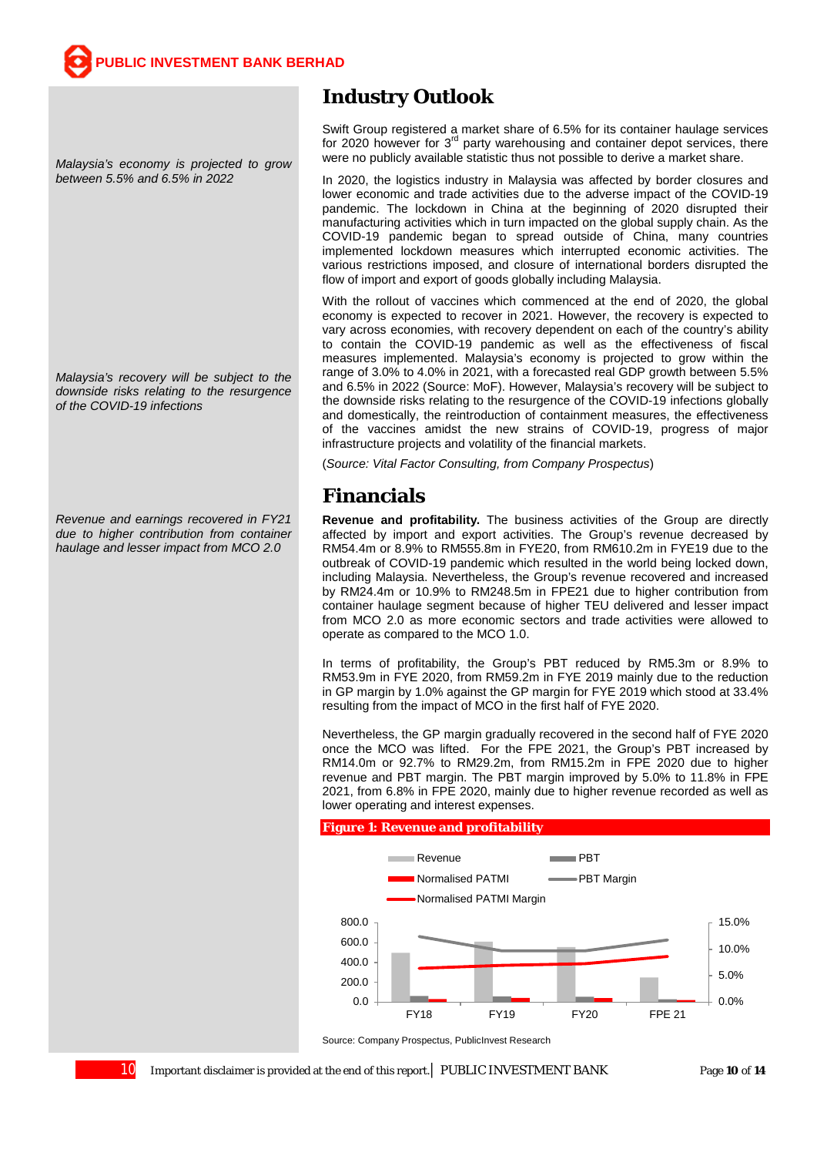*Malaysia's economy is projected to grow between 5.5% and 6.5% in 2022*

*Malaysia's recovery will be subject to the downside risks relating to the resurgence of the COVID-19 infections*

*Revenue and earnings recovered in FY21 due to higher contribution from container haulage and lesser impact from MCO 2.0*

### **Industry Outlook**

Swift Group registered a market share of 6.5% for its container haulage services for 2020 however for 3<sup>rd</sup> party warehousing and container depot services, there were no publicly available statistic thus not possible to derive a market share.

In 2020, the logistics industry in Malaysia was affected by border closures and lower economic and trade activities due to the adverse impact of the COVID-19 pandemic. The lockdown in China at the beginning of 2020 disrupted their manufacturing activities which in turn impacted on the global supply chain. As the COVID-19 pandemic began to spread outside of China, many countries implemented lockdown measures which interrupted economic activities. The various restrictions imposed, and closure of international borders disrupted the flow of import and export of goods globally including Malaysia.

With the rollout of vaccines which commenced at the end of 2020, the global economy is expected to recover in 2021. However, the recovery is expected to vary across economies, with recovery dependent on each of the country's ability to contain the COVID-19 pandemic as well as the effectiveness of fiscal measures implemented. Malaysia's economy is projected to grow within the range of 3.0% to 4.0% in 2021, with a forecasted real GDP growth between 5.5% and 6.5% in 2022 (Source: MoF). However, Malaysia's recovery will be subject to the downside risks relating to the resurgence of the COVID-19 infections globally and domestically, the reintroduction of containment measures, the effectiveness of the vaccines amidst the new strains of COVID-19, progress of major infrastructure projects and volatility of the financial markets.

(*Source: Vital Factor Consulting, from Company Prospectus*)

## **Financials**

**Revenue and profitability.** The business activities of the Group are directly affected by import and export activities. The Group's revenue decreased by RM54.4m or 8.9% to RM555.8m in FYE20, from RM610.2m in FYE19 due to the outbreak of COVID-19 pandemic which resulted in the world being locked down, including Malaysia. Nevertheless, the Group's revenue recovered and increased by RM24.4m or 10.9% to RM248.5m in FPE21 due to higher contribution from container haulage segment because of higher TEU delivered and lesser impact from MCO 2.0 as more economic sectors and trade activities were allowed to operate as compared to the MCO 1.0.

In terms of profitability, the Group's PBT reduced by RM5.3m or 8.9% to RM53.9m in FYE 2020, from RM59.2m in FYE 2019 mainly due to the reduction in GP margin by 1.0% against the GP margin for FYE 2019 which stood at 33.4% resulting from the impact of MCO in the first half of FYE 2020.

Nevertheless, the GP margin gradually recovered in the second half of FYE 2020 once the MCO was lifted. For the FPE 2021, the Group's PBT increased by RM14.0m or 92.7% to RM29.2m, from RM15.2m in FPE 2020 due to higher revenue and PBT margin. The PBT margin improved by 5.0% to 11.8% in FPE 2021, from 6.8% in FPE 2020, mainly due to higher revenue recorded as well as lower operating and interest expenses.

#### **Figure 1: Revenue and profitability**



Source: Company Prospectus, PublicInvest Research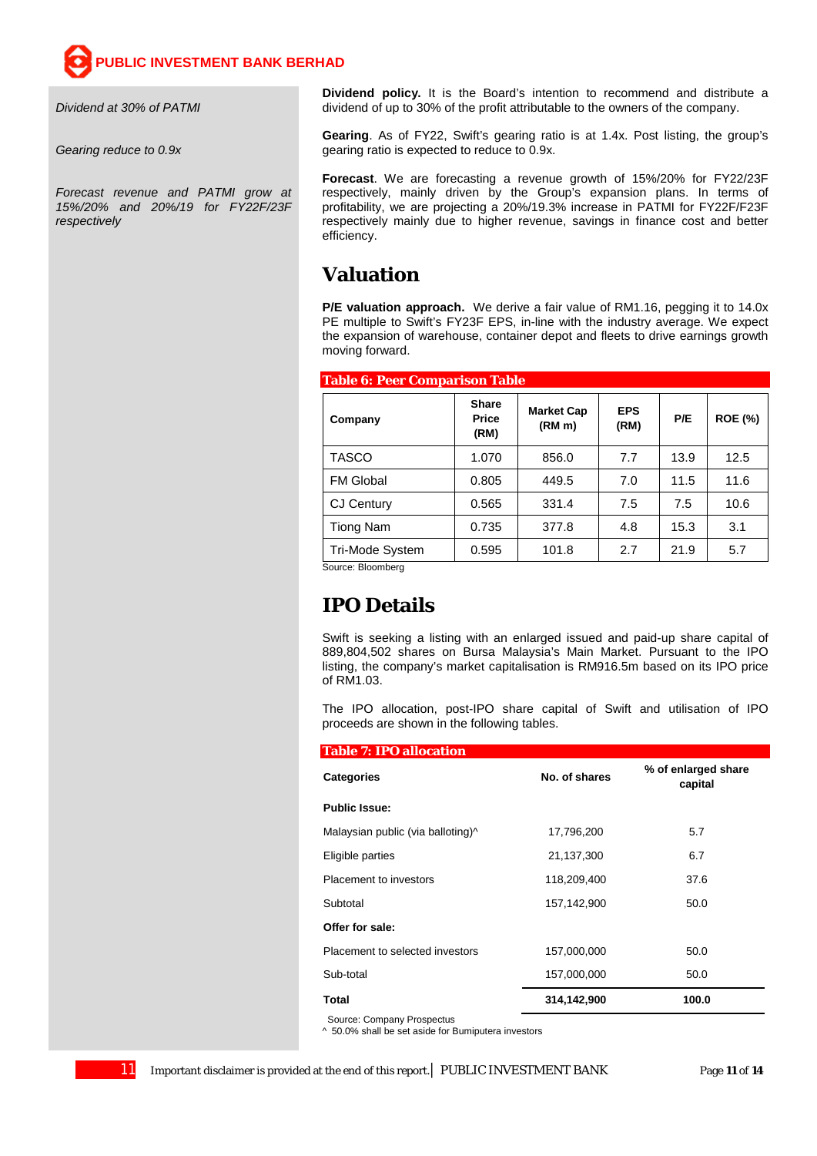*Dividend at 30% of PATMI*

*Gearing reduce to 0.9x*

*Forecast revenue and PATMI grow at 15%/20% and 20%/19 for FY22F/23F respectively*

**Dividend policy.** It is the Board's intention to recommend and distribute a dividend of up to 30% of the profit attributable to the owners of the company.

**Gearing**. As of FY22, Swift's gearing ratio is at 1.4x. Post listing, the group's gearing ratio is expected to reduce to 0.9x.

**Forecast**. We are forecasting a revenue growth of 15%/20% for FY22/23F respectively, mainly driven by the Group's expansion plans. In terms of profitability, we are projecting a 20%/19.3% increase in PATMI for FY22F/F23F respectively mainly due to higher revenue, savings in finance cost and better efficiency.

### **Valuation**

**P/E valuation approach.** We derive a fair value of RM1.16, pegging it to 14.0x PE multiple to Swift's FY23F EPS, in-line with the industry average. We expect the expansion of warehouse, container depot and fleets to drive earnings growth moving forward.

| Table 6: Peer Comparison Table |                                      |                                         |                    |      |                |  |
|--------------------------------|--------------------------------------|-----------------------------------------|--------------------|------|----------------|--|
| Company                        | <b>Share</b><br><b>Price</b><br>(RM) | <b>Market Cap</b><br>(RM <sub>m</sub> ) | <b>EPS</b><br>(RM) | P/E  | <b>ROE (%)</b> |  |
| <b>TASCO</b>                   | 1.070                                | 856.0                                   | 7.7                | 13.9 | 12.5           |  |
| <b>FM Global</b>               | 0.805                                | 449.5                                   | 7.0                | 11.5 | 11.6           |  |
| <b>CJ Century</b>              | 0.565                                | 331.4                                   | 7.5                | 7.5  | 10.6           |  |
| <b>Tiong Nam</b>               | 0.735                                | 377.8                                   | 4.8                | 15.3 | 3.1            |  |
| <b>Tri-Mode System</b>         | 0.595                                | 101.8                                   | 2.7                | 21.9 | 5.7            |  |
| Opening and Displaced area     |                                      |                                         |                    |      |                |  |

Source: Bloomberg

### **IPO Details**

Swift is seeking a listing with an enlarged issued and paid-up share capital of 889,804,502 shares on Bursa Malaysia's Main Market. Pursuant to the IPO listing, the company's market capitalisation is RM916.5m based on its IPO price of RM1.03.

The IPO allocation, post-IPO share capital of Swift and utilisation of IPO proceeds are shown in the following tables.

| <b>Table 7: IPO allocation</b>    |               |                                |
|-----------------------------------|---------------|--------------------------------|
| <b>Categories</b>                 | No. of shares | % of enlarged share<br>capital |
| <b>Public Issue:</b>              |               |                                |
| Malaysian public (via balloting)^ | 17,796,200    | 5.7                            |
| Eligible parties                  | 21,137,300    | 6.7                            |
| Placement to investors            | 118,209,400   | 37.6                           |
| Subtotal                          | 157,142,900   | 50.0                           |
| Offer for sale:                   |               |                                |
| Placement to selected investors   | 157,000,000   | 50.0                           |
| Sub-total                         | 157,000,000   | 50.0                           |
| Total                             | 314,142,900   | 100.0                          |

Source: Company Prospectus

^ 50.0% shall be set aside for Bumiputera investors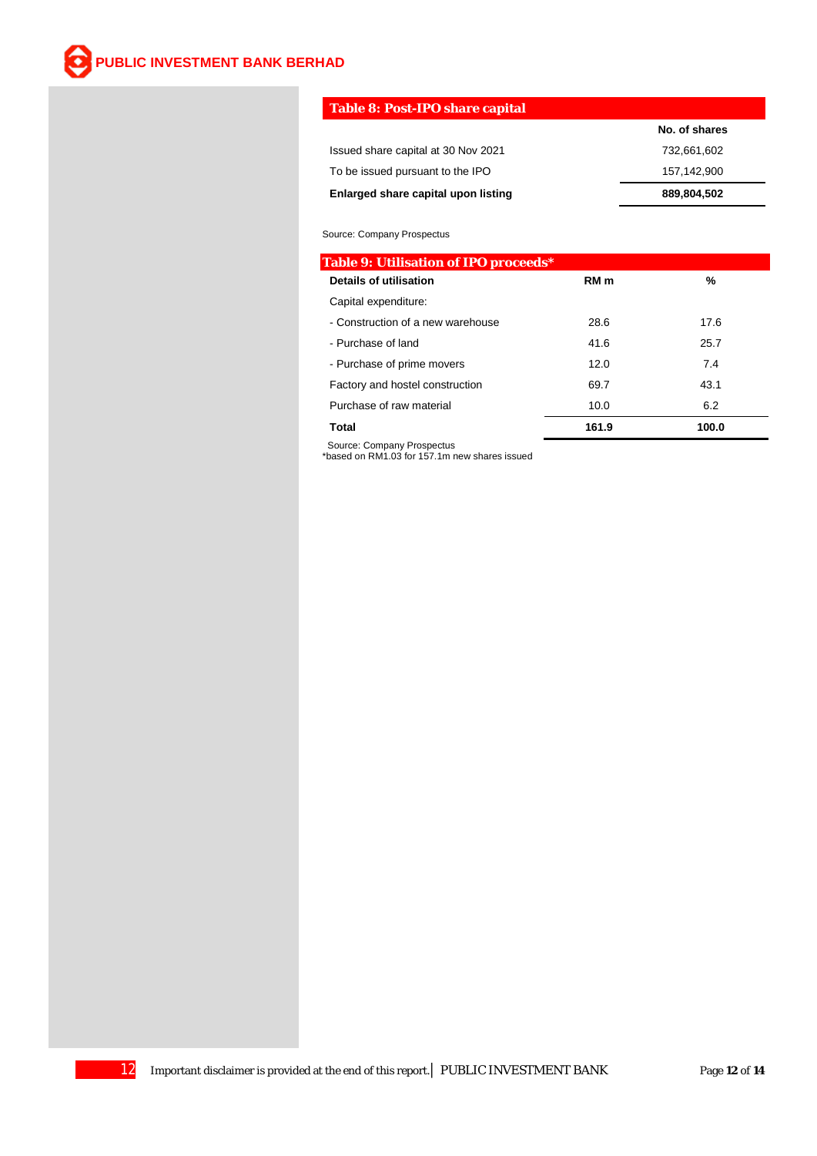### **Table 8: Post-IPO share capital**

|                                     | No. of shares |
|-------------------------------------|---------------|
| Issued share capital at 30 Nov 2021 | 732.661.602   |
| To be issued pursuant to the IPO    | 157.142.900   |
| Enlarged share capital upon listing | 889,804,502   |

#### Source: Company Prospectus

| <b>Table 9: Utilisation of IPO proceeds*</b> |                 |       |
|----------------------------------------------|-----------------|-------|
| <b>Details of utilisation</b>                | RM <sub>m</sub> | %     |
| Capital expenditure:                         |                 |       |
| - Construction of a new warehouse            | 28.6            | 17.6  |
| - Purchase of land                           | 41.6            | 25.7  |
| - Purchase of prime movers                   | 12.0            | 7.4   |
| Factory and hostel construction              | 69.7            | 43.1  |
| Purchase of raw material                     | 10.0            | 6.2   |
| Total                                        | 161.9           | 100.0 |

 Source: Company Prospectus \*based on RM1.03 for 157.1m new shares issued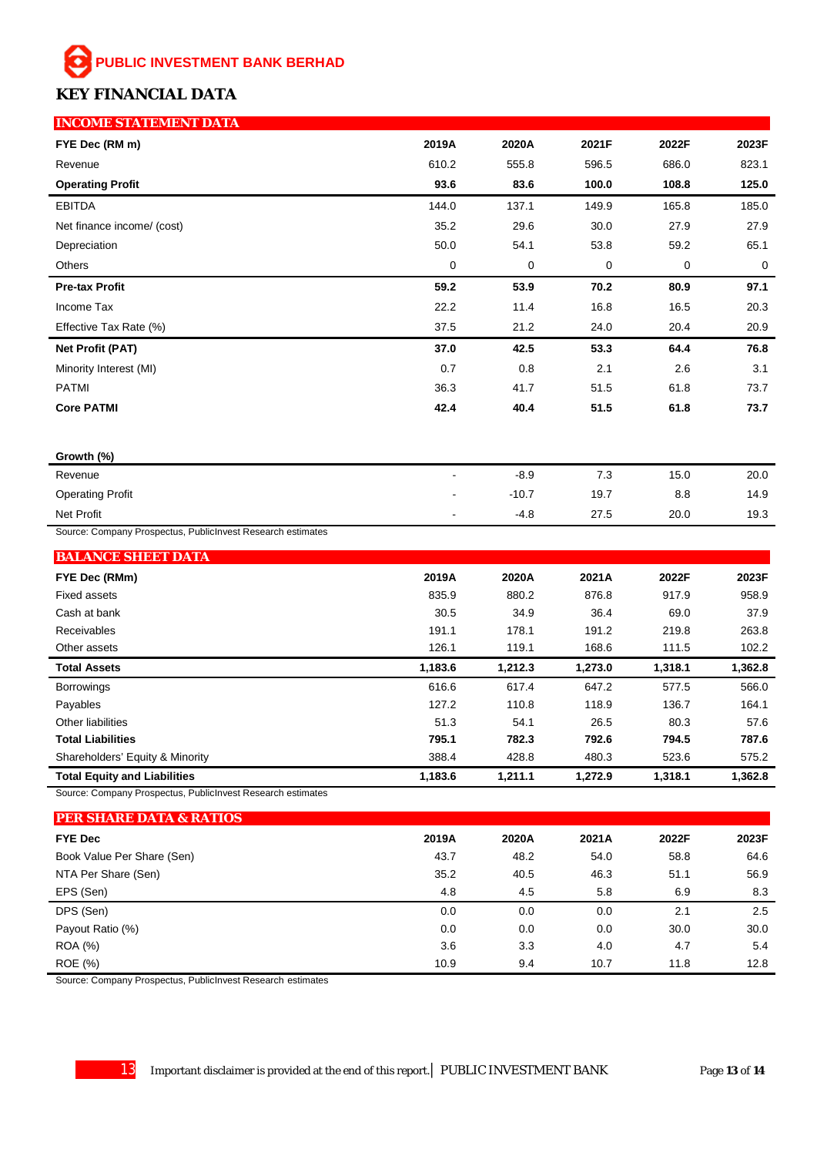### **KEY FINANCIAL DATA**

| <b>INCOME STATEMENT DATA</b>                                |             |         |       |       |       |
|-------------------------------------------------------------|-------------|---------|-------|-------|-------|
| FYE Dec (RM m)                                              | 2019A       | 2020A   | 2021F | 2022F | 2023F |
| Revenue                                                     | 610.2       | 555.8   | 596.5 | 686.0 | 823.1 |
| <b>Operating Profit</b>                                     | 93.6        | 83.6    | 100.0 | 108.8 | 125.0 |
| <b>EBITDA</b>                                               | 144.0       | 137.1   | 149.9 | 165.8 | 185.0 |
| Net finance income/ (cost)                                  | 35.2        | 29.6    | 30.0  | 27.9  | 27.9  |
| Depreciation                                                | 50.0        | 54.1    | 53.8  | 59.2  | 65.1  |
| Others                                                      | $\mathbf 0$ | 0       | 0     | 0     | 0     |
| <b>Pre-tax Profit</b>                                       | 59.2        | 53.9    | 70.2  | 80.9  | 97.1  |
| Income Tax                                                  | 22.2        | 11.4    | 16.8  | 16.5  | 20.3  |
| Effective Tax Rate (%)                                      | 37.5        | 21.2    | 24.0  | 20.4  | 20.9  |
| <b>Net Profit (PAT)</b>                                     | 37.0        | 42.5    | 53.3  | 64.4  | 76.8  |
| Minority Interest (MI)                                      | 0.7         | 0.8     | 2.1   | 2.6   | 3.1   |
| <b>PATMI</b>                                                | 36.3        | 41.7    | 51.5  | 61.8  | 73.7  |
| <b>Core PATMI</b>                                           | 42.4        | 40.4    | 51.5  | 61.8  | 73.7  |
|                                                             |             |         |       |       |       |
| Growth (%)                                                  |             |         |       |       |       |
| Revenue                                                     |             | $-8.9$  | 7.3   | 15.0  | 20.0  |
| <b>Operating Profit</b>                                     |             | $-10.7$ | 19.7  | 8.8   | 14.9  |
| Net Profit                                                  |             | $-4.8$  | 27.5  | 20.0  | 19.3  |
| Source: Company Prospectus, PublicInvest Research estimates |             |         |       |       |       |
| <b>BALANCE SHEET DATA</b>                                   |             |         |       |       |       |
| FYE Dec (RMm)                                               | 2019A       | 2020A   | 2021A | 2022F | 2023F |
| <b>Fixed assets</b>                                         | 835.9       | 880.2   | 876.8 | 917.9 | 958.9 |
| Cash at bank                                                | 30.5        | 34.9    | 36.4  | 69.0  | 37.9  |
| <b>Receivables</b>                                          | 1911        | 178.1   | 1912  | 219.8 | 263.8 |

| <b>Receivables</b>                  | 191.1   | 178.1   | 191.2   | 219.8   | 263.8   |
|-------------------------------------|---------|---------|---------|---------|---------|
| Other assets                        | 126.1   | 119.1   | 168.6   | 111.5   | 102.2   |
| <b>Total Assets</b>                 | 1,183.6 | 1,212.3 | 1,273.0 | 1,318.1 | 1,362.8 |
| <b>Borrowings</b>                   | 616.6   | 617.4   | 647.2   | 577.5   | 566.0   |
| Payables                            | 127.2   | 110.8   | 118.9   | 136.7   | 164.1   |
| Other liabilities                   | 51.3    | 54.1    | 26.5    | 80.3    | 57.6    |
| <b>Total Liabilities</b>            | 795.1   | 782.3   | 792.6   | 794.5   | 787.6   |
| Shareholders' Equity & Minority     | 388.4   | 428.8   | 480.3   | 523.6   | 575.2   |
| <b>Total Equity and Liabilities</b> | 1,183.6 | 1.211.1 | 1,272.9 | 1,318.1 | 1,362.8 |

Source: Company Prospectus, PublicInvest Research estimates

| <b>PER SHARE DATA &amp; RATIOS</b> |       |       |       |       |       |
|------------------------------------|-------|-------|-------|-------|-------|
| <b>FYE Dec</b>                     | 2019A | 2020A | 2021A | 2022F | 2023F |
| Book Value Per Share (Sen)         | 43.7  | 48.2  | 54.0  | 58.8  | 64.6  |
| NTA Per Share (Sen)                | 35.2  | 40.5  | 46.3  | 51.1  | 56.9  |
| EPS (Sen)                          | 4.8   | 4.5   | 5.8   | 6.9   | 8.3   |
| DPS (Sen)                          | 0.0   | 0.0   | 0.0   | 2.1   | 2.5   |
| Payout Ratio (%)                   | 0.0   | 0.0   | 0.0   | 30.0  | 30.0  |
| <b>ROA</b> (%)                     | 3.6   | 3.3   | 4.0   | 4.7   | 5.4   |
| ROE (%)                            | 10.9  | 9.4   | 10.7  | 11.8  | 12.8  |

Source: Company Prospectus, PublicInvest Research estimates